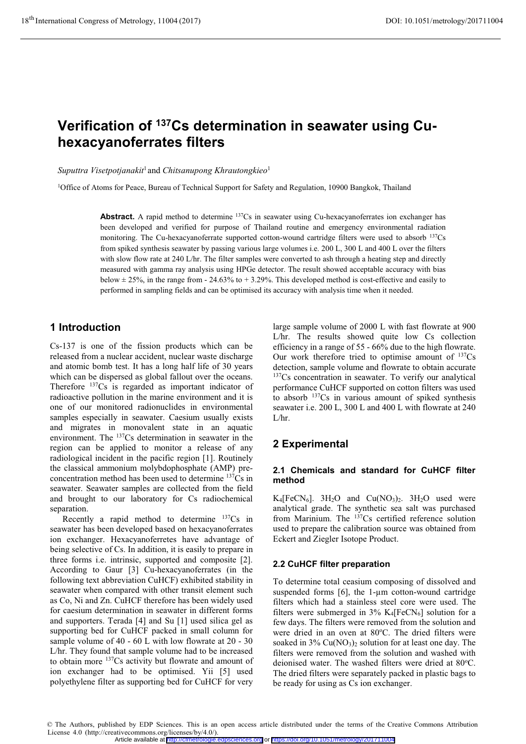# **Verification of 137Cs determination in seawater using Cuhexacyanoferrates filters**

*Suputtra Visetpotjanakit*<sup>1</sup> and *Chitsanupong Khrautongkieo*<sup>1</sup>

1Office of Atoms for Peace, Bureau of Technical Support for Safety and Regulation, 10900 Bangkok, Thailand

Abstract. A rapid method to determine <sup>137</sup>Cs in seawater using Cu-hexacyanoferrates ion exchanger has been developed and verified for purpose of Thailand routine and emergency environmental radiation monitoring. The Cu-hexacyanoferrate supported cotton-wound cartridge filters were used to absorb <sup>137</sup>Cs from spiked synthesis seawater by passing various large volumes i.e. 200 L, 300 L and 400 L over the filters with slow flow rate at 240 L/hr. The filter samples were converted to ash through a heating step and directly measured with gamma ray analysis using HPGe detector. The result showed acceptable accuracy with bias below  $\pm$  25%, in the range from - 24.63% to + 3.29%. This developed method is cost-effective and easily to performed in sampling fields and can be optimised its accuracy with analysis time when it needed.

# **1 Introduction**

Cs-137 is one of the fission products which can be released from a nuclear accident, nuclear waste discharge and atomic bomb test. It has a long half life of 30 years which can be dispersed as global fallout over the oceans. Therefore 137Cs is regarded as important indicator of radioactive pollution in the marine environment and it is one of our monitored radionuclides in environmental samples especially in seawater. Caesium usually exists and migrates in monovalent state in an aquatic environment. The 137Cs determination in seawater in the region can be applied to monitor a release of any radiological incident in the pacific region [1]. Routinely the classical ammonium molybdophosphate (AMP) preconcentration method has been used to determine 137Cs in seawater. Seawater samples are collected from the field and brought to our laboratory for Cs radiochemical separation.

Recently a rapid method to determine  $137Cs$  in seawater has been developed based on hexacyanoferrates ion exchanger. Hexacyanoferretes have advantage of being selective of Cs. In addition, it is easily to prepare in three forms i.e. intrinsic, supported and composite [2]. According to Gaur [3] Cu-hexacyanoferrates (in the following text abbreviation CuHCF) exhibited stability in seawater when compared with other transit element such as Co, Ni and Zn. CuHCF therefore has been widely used for caesium determination in seawater in different forms and supporters. Terada [4] and Su [1] used silica gel as supporting bed for CuHCF packed in small column for sample volume of 40 - 60 L with low flowrate at 20 - 30 L/hr. They found that sample volume had to be increased to obtain more 137Cs activity but flowrate and amount of ion exchanger had to be optimised. Yii [5] used polyethylene filter as supporting bed for CuHCF for very

large sample volume of 2000 L with fast flowrate at 900 L/hr. The results showed quite low Cs collection efficiency in a range of 55 - 66% due to the high flowrate. Our work therefore tried to optimise amount of  $137Cs$ detection, sample volume and flowrate to obtain accurate <sup>137</sup>Cs concentration in seawater. To verify our analytical performance CuHCF supported on cotton filters was used to absorb 137Cs in various amount of spiked synthesis seawater i.e. 200 L, 300 L and 400 L with flowrate at 240 L/hr.

# **2 Experimental**

### **2.1 Chemicals and standard for CuHCF filter method**

 $K_4$ [FeCN<sub>6</sub>]. 3H<sub>2</sub>O and Cu(NO<sub>3</sub>)<sub>2</sub>. 3H<sub>2</sub>O used were analytical grade. The synthetic sea salt was purchased from Marinium. The  $137Cs$  certified reference solution used to prepare the calibration source was obtained from Eckert and Ziegler Isotope Product.

#### **2.2 CuHCF filter preparation**

To determine total ceasium composing of dissolved and suspended forms  $[6]$ , the 1- $\mu$ m cotton-wound cartridge filters which had a stainless steel core were used. The filters were submerged in  $3\%$  K<sub>4</sub>[FeCN<sub>6</sub>] solution for a few days. The filters were removed from the solution and were dried in an oven at 80°C. The dried filters were soaked in  $3\%$  Cu(NO<sub>3</sub>)<sub>2</sub> solution for at least one day. The filters were removed from the solution and washed with deionised water. The washed filters were dried at 80°C. The dried filters were separately packed in plastic bags to be ready for using as Cs ion exchanger.

<sup>©</sup> The Authors, published by EDP Sciences. This is an open access article distributed under the terms of the Creative Commons Attribution License 4.0 (http://creativecommons.org/licenses/by/4.0/).

Article available at <http://cfmetrologie.edpsciences.org> or <https://doi.org/10.1051/metrology/201711004>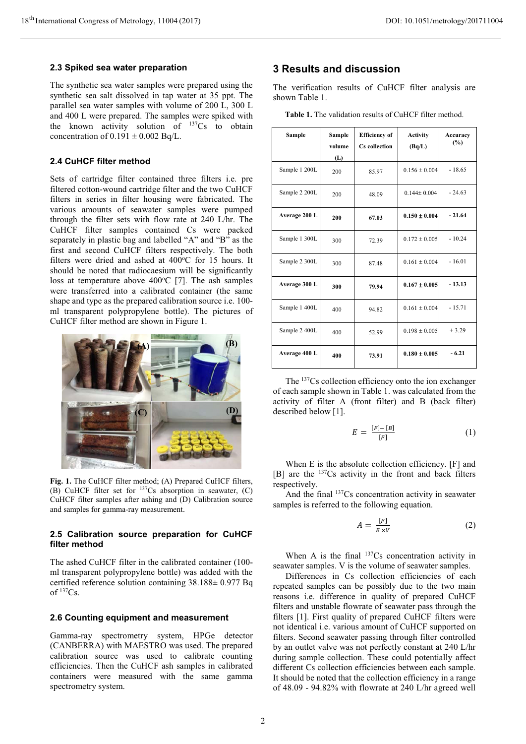#### **2.3 Spiked sea water preparation**

The synthetic sea water samples were prepared using the synthetic sea salt dissolved in tap water at 35 ppt. The parallel sea water samples with volume of 200 L, 300 L and 400 L were prepared. The samples were spiked with the known activity solution of 137Cs to obtain concentration of  $0.191 \pm 0.002$  Bq/L.

#### **2.4 CuHCF filter method**

Sets of cartridge filter contained three filters i.e. pre filtered cotton-wound cartridge filter and the two CuHCF filters in series in filter housing were fabricated. The various amounts of seawater samples were pumped through the filter sets with flow rate at 240 L/hr. The CuHCF filter samples contained Cs were packed separately in plastic bag and labelled "A" and "B" as the first and second CuHCF filters respectively. The both filters were dried and ashed at  $400^{\circ}$ C for 15 hours. It should be noted that radiocaesium will be significantly loss at temperature above  $400^{\circ}$ C [7]. The ash samples were transferred into a calibrated container (the same shape and type as the prepared calibration source i.e. 100 ml transparent polypropylene bottle). The pictures of CuHCF filter method are shown in Figure 1.



**Fig. 1.** The CuHCF filter method; (A) Prepared CuHCF filters, (B) CuHCF filter set for <sup>137</sup>Cs absorption in seawater, (C) CuHCF filter samples after ashing and (D) Calibration source and samples for gamma-ray measurement.

#### **2.5 Calibration source preparation for CuHCF filter method**

The ashed CuHCF filter in the calibrated container (100 ml transparent polypropylene bottle) was added with the certified reference solution containing 38.188± 0.977 Bq of  $137Cs$ .

#### **2.6 Counting equipment and measurement**

Gamma-ray spectrometry system, HPGe detector (CANBERRA) with MAESTRO was used. The prepared calibration source was used to calibrate counting efficiencies. Then the CuHCF ash samples in calibrated containers were measured with the same gamma spectrometry system.

### **3 Results and discussion**

The verification results of CuHCF filter analysis are shown Table 1.

|  |  | <b>Table 1.</b> The validation results of CuHCF filter method. |  |
|--|--|----------------------------------------------------------------|--|
|  |  |                                                                |  |

| Sample        | <b>Sample</b><br>volume<br>(L) | <b>Efficiency</b> of<br><b>Cs</b> collection | <b>Activity</b><br>(Bq/L) | Accuracy<br>(%) |
|---------------|--------------------------------|----------------------------------------------|---------------------------|-----------------|
| Sample 1 200L | 200                            | 85.97                                        | $0.156 \pm 0.004$         | $-18.65$        |
| Sample 2 200L | 200                            | 48.09                                        | $0.144 + 0.004$           | $-24.63$        |
| Average 200 L | 200                            | 67.03                                        | $0.150 + 0.004$           | $-21.64$        |
| Sample 1 300L | 300                            | 72.39                                        | $0.172 + 0.005$           | $-10.24$        |
| Sample 2 300L | 300                            | 87.48                                        | $0.161 + 0.004$           | $-16.01$        |
| Average 300 L | 300                            | 79.94                                        | $0.167 \pm 0.005$         | $-13.13$        |
| Sample 1 400L | 400                            | 94.82                                        | $0.161 \pm 0.004$         | $-15.71$        |
| Sample 2 400L | 400                            | 52.99                                        | $0.198 \pm 0.005$         | $+3.29$         |
| Average 400 L | 400                            | 73.91                                        | $0.180 \pm 0.005$         | $-6.21$         |

The <sup>137</sup>Cs collection efficiency onto the ion exchanger of each sample shown in Table 1. was calculated from the activity of filter A (front filter) and B (back filter) described below [1].

$$
E = \frac{[F] - [B]}{[F]} \tag{1}
$$

When E is the absolute collection efficiency. [F] and [B] are the <sup>137</sup>Cs activity in the front and back filters respectively.

And the final <sup>137</sup>Cs concentration activity in seawater samples is referred to the following equation.

$$
A = \frac{[F]}{E \times V} \tag{2}
$$

When A is the final  $137Cs$  concentration activity in seawater samples. V is the volume of seawater samples.

Differences in Cs collection efficiencies of each repeated samples can be possibly due to the two main reasons i.e. difference in quality of prepared CuHCF filters and unstable flowrate of seawater pass through the filters [1]. First quality of prepared CuHCF filters were not identical i.e. various amount of CuHCF supported on filters. Second seawater passing through filter controlled by an outlet valve was not perfectly constant at 240 L/hr during sample collection. These could potentially affect different Cs collection efficiencies between each sample. It should be noted that the collection efficiency in a range of 48.09 - 94.82% with flowrate at 240 L/hr agreed well